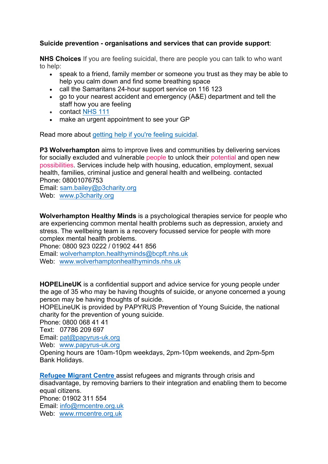## **Suicide prevention - organisations and services that can provide support**:

**NHS Choices** If you are feeling suicidal, there are people you can talk to who want to help:

- speak to a friend, family member or someone you trust as they may be able to help you calm down and find some breathing space
- call the Samaritans 24-hour support service on 116 123
- go to your nearest accident and emergency (A&E) department and tell the staff how you are feeling
- contact NHS 111
- make an urgent appointment to see your GP

Read more about getting help if you're feeling suicidal.

**P3 Wolverhampton** aims to improve lives and communities by delivering services for socially excluded and vulnerable people to unlock their potential and open new possibilities. Services include help with housing, education, employment, sexual health, families, criminal justice and general health and wellbeing, contacted Phone: 08001076753

Email: sam.bailey@p3charity.org Web: www.p3charity.org

**Wolverhampton Healthy Minds** is a psychological therapies service for people who are experiencing common mental health problems such as depression, anxiety and stress. The wellbeing team is a recovery focussed service for people with more complex mental health problems.

Phone: 0800 923 0222 / 01902 441 856

Email: wolverhampton.healthyminds@bcpft.nhs.uk

Web: www.wolverhamptonhealthyminds.nhs.uk

**HOPELINEUK** is a confidential support and advice service for young people under the age of 35 who may be having thoughts of suicide, or anyone concerned a young person may be having thoughts of suicide.

HOPELineUK is provided by PAPYRUS Prevention of Young Suicide, the national charity for the prevention of young suicide.

Phone: 0800 068 41 41

Text: 07786 209 697

Email: pat@papyrus-uk.org

Web: www.papyrus-uk.org

Opening hours are 10am-10pm weekdays, 2pm-10pm weekends, and 2pm-5pm Bank Holidays.

**Refugee Migrant Centre** assist refugees and migrants through crisis and disadvantage, by removing barriers to their integration and enabling them to become equal citizens. Phone: 01902 311 554 Email: info@rmcentre.org.uk Web: www.rmcentre.org.uk